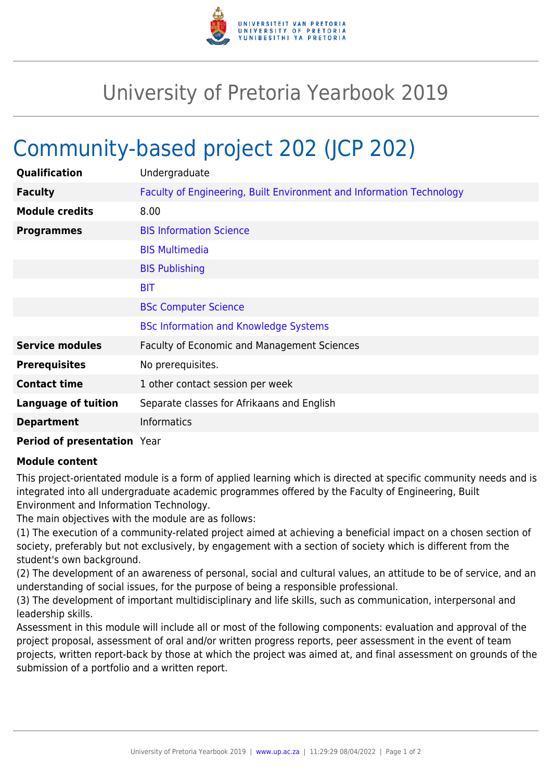

## University of Pretoria Yearbook 2019

## Community-based project 202 (JCP 202)

| Qualification              | Undergraduate                                                        |
|----------------------------|----------------------------------------------------------------------|
| <b>Faculty</b>             | Faculty of Engineering, Built Environment and Information Technology |
| <b>Module credits</b>      | 8.00                                                                 |
| <b>Programmes</b>          | <b>BIS Information Science</b>                                       |
|                            | <b>BIS Multimedia</b>                                                |
|                            | <b>BIS Publishing</b>                                                |
|                            | <b>BIT</b>                                                           |
|                            | <b>BSc Computer Science</b>                                          |
|                            | <b>BSc Information and Knowledge Systems</b>                         |
| <b>Service modules</b>     | <b>Faculty of Economic and Management Sciences</b>                   |
| <b>Prerequisites</b>       | No prerequisites.                                                    |
| <b>Contact time</b>        | 1 other contact session per week                                     |
| <b>Language of tuition</b> | Separate classes for Afrikaans and English                           |
| <b>Department</b>          | <b>Informatics</b>                                                   |
|                            |                                                                      |

## **Period of presentation** Year

## **Module content**

This project-orientated module is a form of applied learning which is directed at specific community needs and is integrated into all undergraduate academic programmes offered by the Faculty of Engineering, Built Environment and Information Technology.

The main objectives with the module are as follows:

(1) The execution of a community-related project aimed at achieving a beneficial impact on a chosen section of society, preferably but not exclusively, by engagement with a section of society which is different from the student's own background.

(2) The development of an awareness of personal, social and cultural values, an attitude to be of service, and an understanding of social issues, for the purpose of being a responsible professional.

(3) The development of important multidisciplinary and life skills, such as communication, interpersonal and leadership skills.

Assessment in this module will include all or most of the following components: evaluation and approval of the project proposal, assessment of oral and/or written progress reports, peer assessment in the event of team projects, written report-back by those at which the project was aimed at, and final assessment on grounds of the submission of a portfolio and a written report.